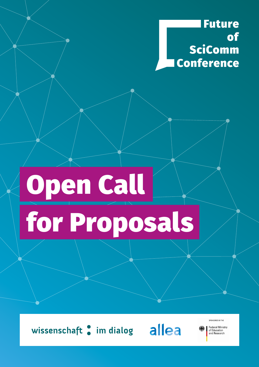**Future** of SciComm **Conference** 

## **Open Call** for Proposals

wissenschaft : im dialog allea

**Federal Ministry** of Education<br>and Research

SPONSORED BY THE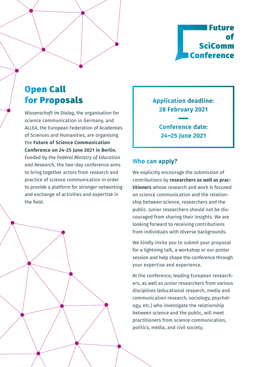

## Open Call for Proposals

*Wissenschaft im Dialog*, the organisation for science communication in Germany, and *ALLEA*, the European Federation of Academies of Sciences and Humanities, are organising the **Future of Science Communication Conference on 24-25 June 2021 in Berlin.**  Funded by the *Federal Ministry of Education and Research*, the two-day conference aims to bring together actors from research and practice of science communication in order to provide a platform for stronger networking and exchange of activities and expertise in the field.

**Application deadline: 28 February 2021**

> **Conference date: 24–25 June 2021**

## **Who can apply?**

We explicitly encourage the submission of contributions by **researchers as well as practitioners** whose research and work is focused on science communication and the relationship between science, researchers and the public. Junior researchers should not be discouraged from sharing their insights. We are looking forward to receiving contributions from individuals with diverse backgrounds.

We kindly invite you to submit your proposal for a lightning talk, a workshop or our poster session and help shape the conference through your expertise and experience.

At the conference, leading European researchers, as well as junior researchers from various disciplines (educational research, media and communication research, sociology, psychology, etc.) who investigate the relationship between science and the public, will meet practitioners from science communication, politics, media, and civil society.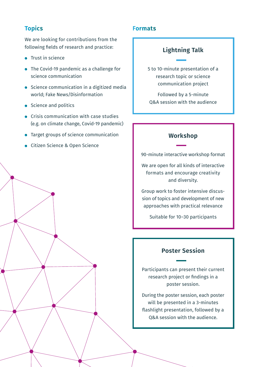We are looking for contributions from the following fields of research and practice:

- **Trust in science**
- The Covid-19 pandemic as a challenge for science communication
- **•** Science communication in a digitized media world; Fake News/Disinformation
- Science and politics
- **•** Crisis communication with case studies (e.g. on climate change, Covid-19 pandemic)
- **•** Target groups of science communication
- Citizen Science & Open Science

## **Topics Formats**

## **Lightning Talk**

5 to 10-minute presentation of a research topic or science communication project

Followed by a 5-minute Q&A session with the audience

## **Workshop**

90-minute interactive workshop format

We are open for all kinds of interactive formats and encourage creativity and diversity.

Group work to foster intensive discussion of topics and development of new approaches with practical relevance

Suitable for 10–30 participants

## **Poster Session**

Participants can present their current research project or findings in a poster session.

During the poster session, each poster will be presented in a 3-minutes flashlight presentation, followed by a Q&A session with the audience.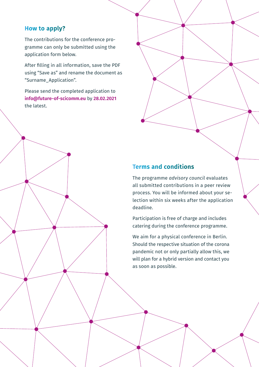## **How to apply?**

The contributions for the conference programme can only be submitted using the application form below.

After filling in all information, save the PDF using "Save as" and rename the document as "Surname\_Application".

Please send the completed application to **info@future-of-scicomm.eu** by **28.02.2021** the latest.

## **Terms and conditions**

The programme *advisory council* evaluates all submitted contributions in a peer review process. You will be informed about your selection within six weeks after the application deadline.

Participation is free of charge and includes catering during the conference programme.

We aim for a physical conference in Berlin. Should the respective situation of the corona pandemic not or only partially allow this, we will plan for a hybrid version and contact you as soon as possible.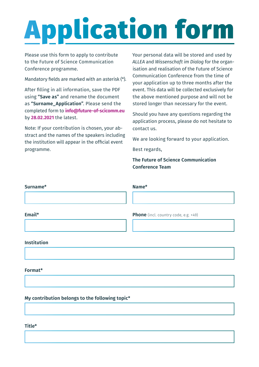# Application form

Please use this form to apply to contribute to the Future of Science Communication Conference programme.

Mandatory fields are marked with an asterisk (\*).

After filling in all information, save the PDF using **"Save as"** and rename the document as **"Surname\_Application"**. Please send the completed form to **info@future-of-scicomm.eu** by **28.02.2021** the latest.

Note: If your contribution is chosen, your abstract and the names of the speakers including the institution will appear in the official event programme.

Your personal data will be stored and used by *ALLEA* and *Wissenschaft im Dialog* for the organisation and realisation of the Future of Science Communication Conference from the time of your application up to three months after the event. This data will be collected exclusively for the above mentioned purpose and will not be stored longer than necessary for the event.

Should you have any questions regarding the application process, please do not hesitate to contact us.

We are looking forward to your application.

Best regards,

**The Future of Science Communication Conference Team**

**Phone** (incl. country code, e.g. +49)

| Surname* | Name* |
|----------|-------|
|          |       |
|          |       |

<u> 1989 - Johann Stoff, deutscher Stoff, der Stoff, der Stoff, der Stoff, der Stoff, der Stoff, der Stoff, der S</u>

## **Email\***

## **Institution**

## **Format\***

Lightning Talk Workshop Poster Session

**My contribution belongs to the following topic\***

## **Title\***